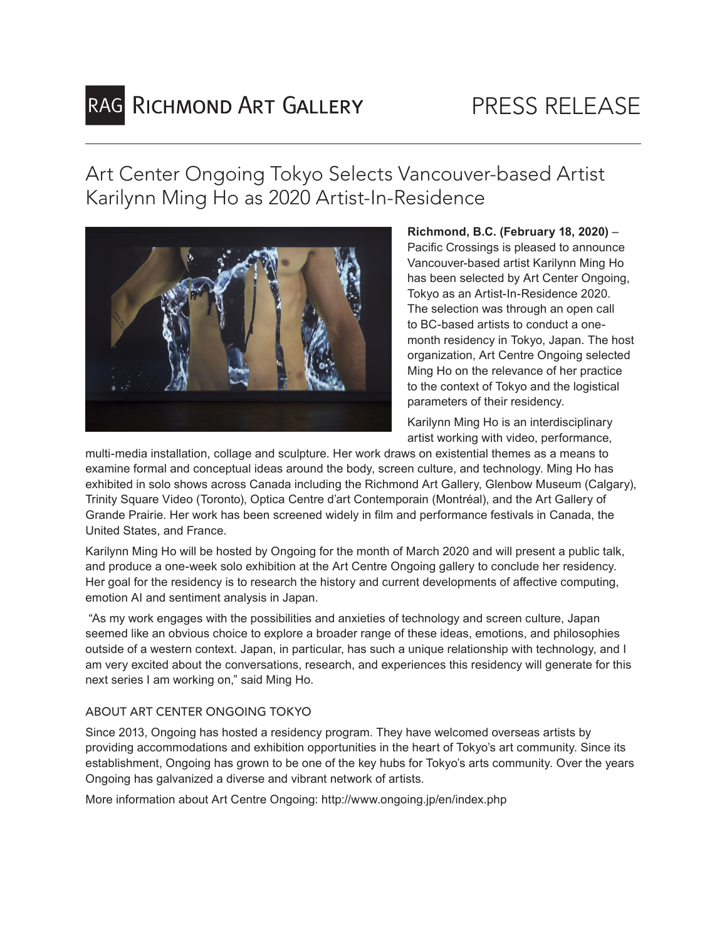# RAG RICHMOND ART GALLERY

Art Center Ongoing Tokyo Selects Vancouver-based Artist Karilynn Ming Ho as 2020 Artist-In-Residence



**Richmond, B.C. (February 18, 2020)** – Pacific Crossings is pleased to announce Vancouver-based artist Karilynn Ming Ho has been selected by Art Center Ongoing, Tokyo as an Artist-In-Residence 2020. The selection was through an open call to BC-based artists to conduct a onemonth residency in Tokyo, Japan. The host organization, Art Centre Ongoing selected Ming Ho on the relevance of her practice to the context of Tokyo and the logistical parameters of their residency.

Karilynn Ming Ho is an interdisciplinary artist working with video, performance,

multi-media installation, collage and sculpture. Her work draws on existential themes as a means to examine formal and conceptual ideas around the body, screen culture, and technology. Ming Ho has exhibited in solo shows across Canada including the Richmond Art Gallery, Glenbow Museum (Calgary), Trinity Square Video (Toronto), Optica Centre d'art Contemporain (Montréal), and the Art Gallery of Grande Prairie. Her work has been screened widely in film and performance festivals in Canada, the United States, and France.

Karilynn Ming Ho will be hosted by Ongoing for the month of March 2020 and will present a public talk, and produce a one-week solo exhibition at the Art Centre Ongoing gallery to conclude her residency. Her goal for the residency is to research the history and current developments of affective computing, emotion AI and sentiment analysis in Japan.

 "As my work engages with the possibilities and anxieties of technology and screen culture, Japan seemed like an obvious choice to explore a broader range of these ideas, emotions, and philosophies outside of a western context. Japan, in particular, has such a unique relationship with technology, and I am very excited about the conversations, research, and experiences this residency will generate for this next series I am working on," said Ming Ho.

## ABOUT ART CENTER ONGOING TOKYO

Since 2013, Ongoing has hosted a residency program. They have welcomed overseas artists by providing accommodations and exhibition opportunities in the heart of Tokyo's art community. Since its establishment, Ongoing has grown to be one of the key hubs for Tokyo's arts community. Over the years Ongoing has galvanized a diverse and vibrant network of artists.

More information about Art Centre Ongoing: http://www.ongoing.jp/en/index.php